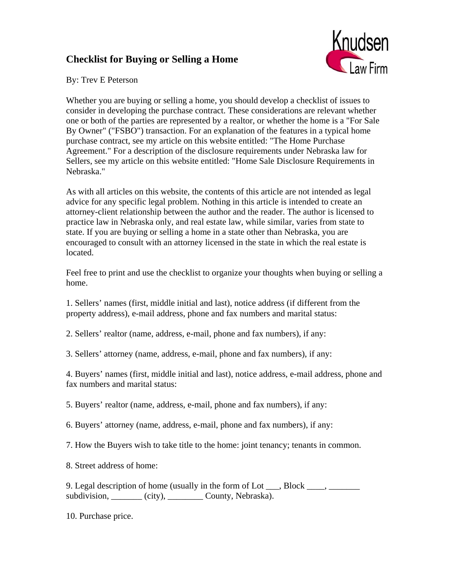## **Checklist for Buying or Selling a Home**



By: Trev E Peterson

Whether you are buying or selling a home, you should develop a checklist of issues to consider in developing the purchase contract. These considerations are relevant whether one or both of the parties are represented by a realtor, or whether the home is a "For Sale By Owner" ("FSBO") transaction. For an explanation of the features in a typical home purchase contract, see my article on this website entitled: "The Home Purchase Agreement." For a description of the disclosure requirements under Nebraska law for Sellers, see my article on this website entitled: "Home Sale Disclosure Requirements in Nebraska."

As with all articles on this website, the contents of this article are not intended as legal advice for any specific legal problem. Nothing in this article is intended to create an attorney-client relationship between the author and the reader. The author is licensed to practice law in Nebraska only, and real estate law, while similar, varies from state to state. If you are buying or selling a home in a state other than Nebraska, you are encouraged to consult with an attorney licensed in the state in which the real estate is located.

Feel free to print and use the checklist to organize your thoughts when buying or selling a home.

1. Sellers' names (first, middle initial and last), notice address (if different from the property address), e-mail address, phone and fax numbers and marital status:

2. Sellers' realtor (name, address, e-mail, phone and fax numbers), if any:

3. Sellers' attorney (name, address, e-mail, phone and fax numbers), if any:

4. Buyers' names (first, middle initial and last), notice address, e-mail address, phone and fax numbers and marital status:

5. Buyers' realtor (name, address, e-mail, phone and fax numbers), if any:

6. Buyers' attorney (name, address, e-mail, phone and fax numbers), if any:

7. How the Buyers wish to take title to the home: joint tenancy; tenants in common.

8. Street address of home:

9. Legal description of home (usually in the form of Lot \_\_\_, Block \_\_\_\_, \_\_\_\_\_\_ subdivision, \_\_\_\_\_\_\_ (city), \_\_\_\_\_\_\_\_ County, Nebraska).

10. Purchase price.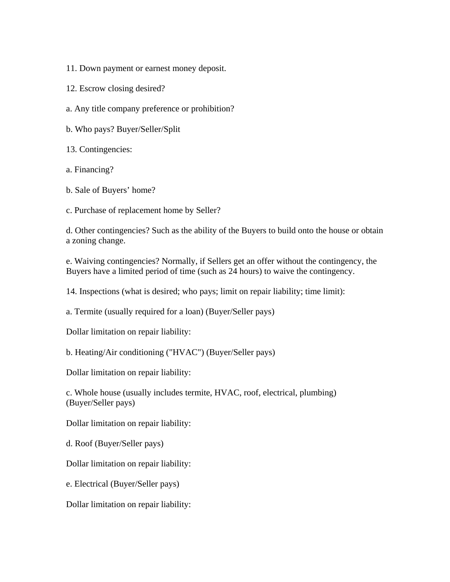11. Down payment or earnest money deposit.

12. Escrow closing desired?

a. Any title company preference or prohibition?

b. Who pays? Buyer/Seller/Split

13. Contingencies:

a. Financing?

b. Sale of Buyers' home?

c. Purchase of replacement home by Seller?

d. Other contingencies? Such as the ability of the Buyers to build onto the house or obtain a zoning change.

e. Waiving contingencies? Normally, if Sellers get an offer without the contingency, the Buyers have a limited period of time (such as 24 hours) to waive the contingency.

14. Inspections (what is desired; who pays; limit on repair liability; time limit):

a. Termite (usually required for a loan) (Buyer/Seller pays)

Dollar limitation on repair liability:

b. Heating/Air conditioning ("HVAC") (Buyer/Seller pays)

Dollar limitation on repair liability:

c. Whole house (usually includes termite, HVAC, roof, electrical, plumbing) (Buyer/Seller pays)

Dollar limitation on repair liability:

d. Roof (Buyer/Seller pays)

Dollar limitation on repair liability:

e. Electrical (Buyer/Seller pays)

Dollar limitation on repair liability: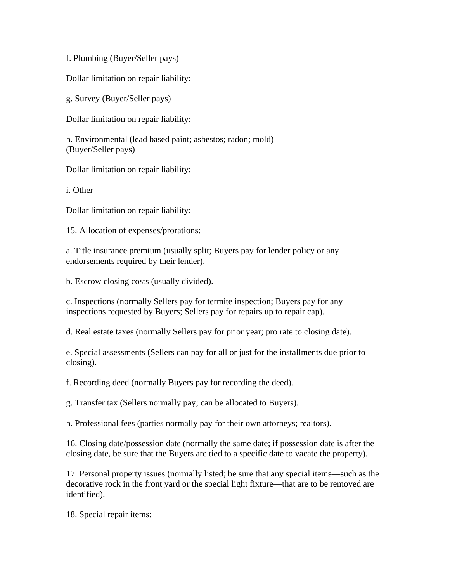f. Plumbing (Buyer/Seller pays)

Dollar limitation on repair liability:

g. Survey (Buyer/Seller pays)

Dollar limitation on repair liability:

h. Environmental (lead based paint; asbestos; radon; mold) (Buyer/Seller pays)

Dollar limitation on repair liability:

i. Other

Dollar limitation on repair liability:

15. Allocation of expenses/prorations:

a. Title insurance premium (usually split; Buyers pay for lender policy or any endorsements required by their lender).

b. Escrow closing costs (usually divided).

c. Inspections (normally Sellers pay for termite inspection; Buyers pay for any inspections requested by Buyers; Sellers pay for repairs up to repair cap).

d. Real estate taxes (normally Sellers pay for prior year; pro rate to closing date).

e. Special assessments (Sellers can pay for all or just for the installments due prior to closing).

f. Recording deed (normally Buyers pay for recording the deed).

g. Transfer tax (Sellers normally pay; can be allocated to Buyers).

h. Professional fees (parties normally pay for their own attorneys; realtors).

16. Closing date/possession date (normally the same date; if possession date is after the closing date, be sure that the Buyers are tied to a specific date to vacate the property).

17. Personal property issues (normally listed; be sure that any special items—such as the decorative rock in the front yard or the special light fixture—that are to be removed are identified).

18. Special repair items: